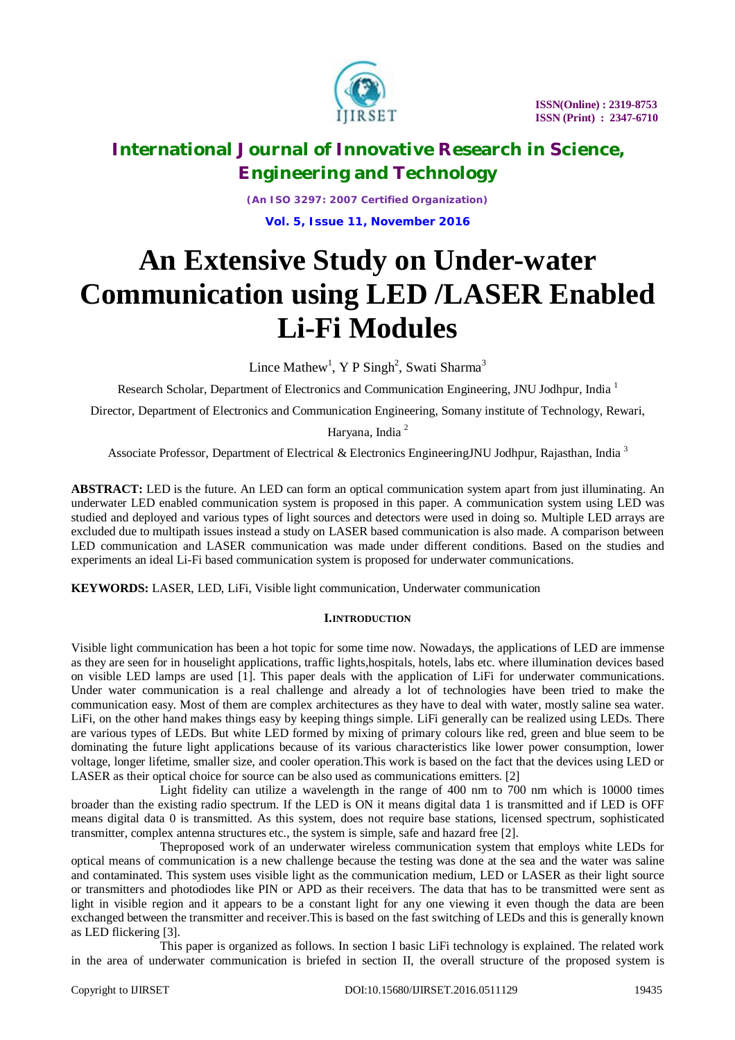

*(An ISO 3297: 2007 Certified Organization)* **Vol. 5, Issue 11, November 2016**

# **An Extensive Study on Under-water Communication using LED /LASER Enabled Li-Fi Modules**

Lince Mathew<sup>1</sup>, Y P Singh<sup>2</sup>, Swati Sharma<sup>3</sup>

Research Scholar, Department of Electronics and Communication Engineering, JNU Jodhpur, India <sup>1</sup>

Director, Department of Electronics and Communication Engineering, Somany institute of Technology, Rewari,

Haryana, India <sup>2</sup>

Associate Professor, Department of Electrical & Electronics EngineeringJNU Jodhpur, Rajasthan, India<sup>3</sup>

**ABSTRACT:** LED is the future. An LED can form an optical communication system apart from just illuminating. An underwater LED enabled communication system is proposed in this paper. A communication system using LED was studied and deployed and various types of light sources and detectors were used in doing so. Multiple LED arrays are excluded due to multipath issues instead a study on LASER based communication is also made. A comparison between LED communication and LASER communication was made under different conditions. Based on the studies and experiments an ideal Li-Fi based communication system is proposed for underwater communications.

**KEYWORDS:** LASER, LED, LiFi, Visible light communication, Underwater communication

### **I.INTRODUCTION**

Visible light communication has been a hot topic for some time now. Nowadays, the applications of LED are immense as they are seen for in houselight applications, traffic lights,hospitals, hotels, labs etc. where illumination devices based on visible LED lamps are used [1]. This paper deals with the application of LiFi for underwater communications. Under water communication is a real challenge and already a lot of technologies have been tried to make the communication easy. Most of them are complex architectures as they have to deal with water, mostly saline sea water. LiFi, on the other hand makes things easy by keeping things simple. LiFi generally can be realized using LEDs. There are various types of LEDs. But white LED formed by mixing of primary colours like red, green and blue seem to be dominating the future light applications because of its various characteristics like lower power consumption, lower voltage, longer lifetime, smaller size, and cooler operation.This work is based on the fact that the devices using LED or LASER as their optical choice for source can be also used as communications emitters. [2]

Light fidelity can utilize a wavelength in the range of 400 nm to 700 nm which is 10000 times broader than the existing radio spectrum. If the LED is ON it means digital data 1 is transmitted and if LED is OFF means digital data 0 is transmitted. As this system, does not require base stations, licensed spectrum, sophisticated transmitter, complex antenna structures etc., the system is simple, safe and hazard free [2].

Theproposed work of an underwater wireless communication system that employs white LEDs for optical means of communication is a new challenge because the testing was done at the sea and the water was saline and contaminated. This system uses visible light as the communication medium, LED or LASER as their light source or transmitters and photodiodes like PIN or APD as their receivers. The data that has to be transmitted were sent as light in visible region and it appears to be a constant light for any one viewing it even though the data are been exchanged between the transmitter and receiver.This is based on the fast switching of LEDs and this is generally known as LED flickering [3].

This paper is organized as follows. In section I basic LiFi technology is explained. The related work in the area of underwater communication is briefed in section II, the overall structure of the proposed system is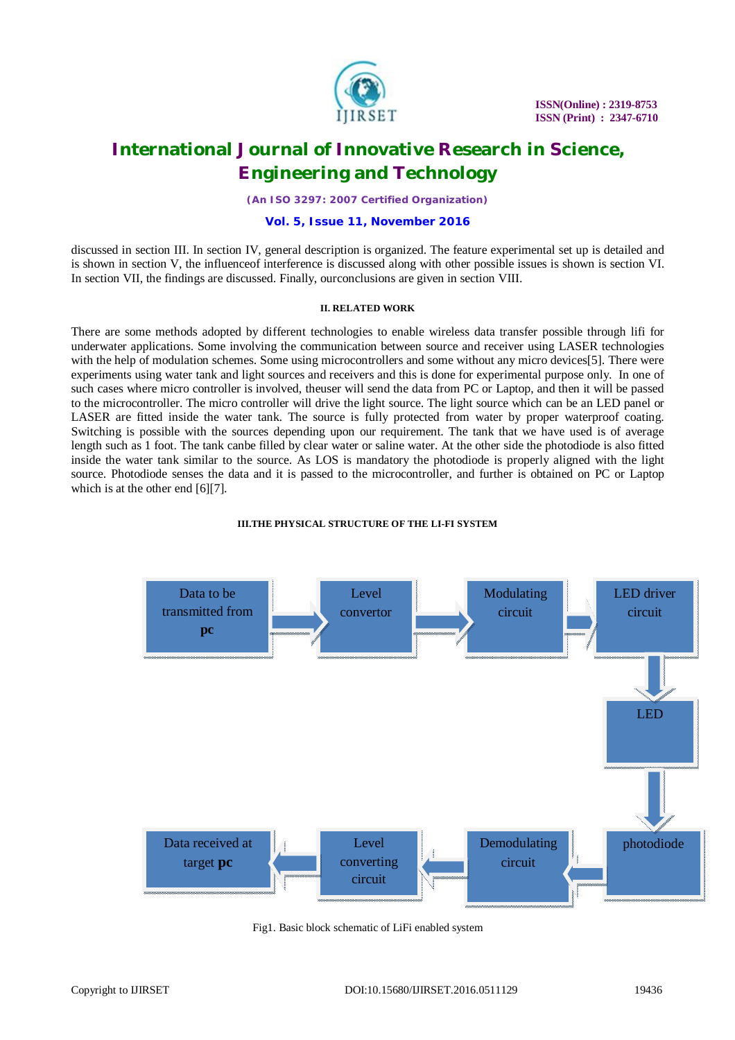

*(An ISO 3297: 2007 Certified Organization)*

### **Vol. 5, Issue 11, November 2016**

discussed in section III. In section IV, general description is organized. The feature experimental set up is detailed and is shown in section V, the influenceof interference is discussed along with other possible issues is shown is section VI. In section VII, the findings are discussed. Finally, ourconclusions are given in section VIII.

#### **II. RELATED WORK**

There are some methods adopted by different technologies to enable wireless data transfer possible through lifi for underwater applications. Some involving the communication between source and receiver using LASER technologies with the help of modulation schemes. Some using microcontrollers and some without any micro devices[5]. There were experiments using water tank and light sources and receivers and this is done for experimental purpose only. In one of such cases where micro controller is involved, theuser will send the data from PC or Laptop, and then it will be passed to the microcontroller. The micro controller will drive the light source. The light source which can be an LED panel or LASER are fitted inside the water tank. The source is fully protected from water by proper waterproof coating. Switching is possible with the sources depending upon our requirement. The tank that we have used is of average length such as 1 foot. The tank canbe filled by clear water or saline water. At the other side the photodiode is also fitted inside the water tank similar to the source. As LOS is mandatory the photodiode is properly aligned with the light source. Photodiode senses the data and it is passed to the microcontroller, and further is obtained on PC or Laptop which is at the other end [6][7].



#### **III.THE PHYSICAL STRUCTURE OF THE LI-FI SYSTEM**

Fig1. Basic block schematic of LiFi enabled system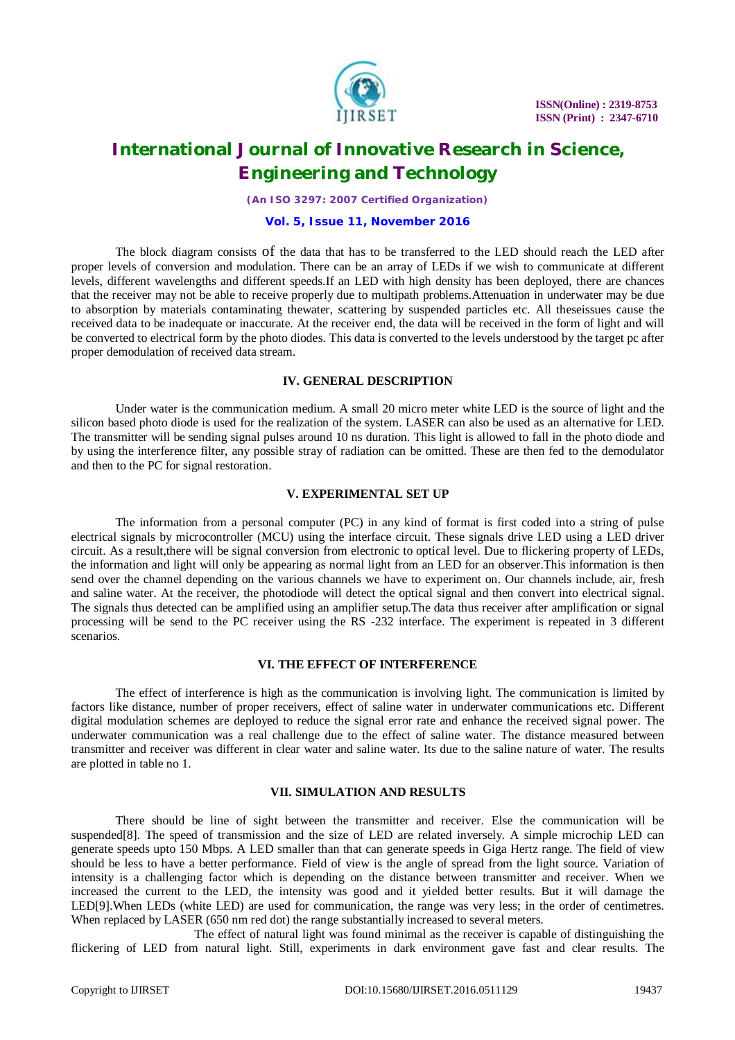

*(An ISO 3297: 2007 Certified Organization)*

### **Vol. 5, Issue 11, November 2016**

The block diagram consists of the data that has to be transferred to the LED should reach the LED after proper levels of conversion and modulation. There can be an array of LEDs if we wish to communicate at different levels, different wavelengths and different speeds.If an LED with high density has been deployed, there are chances that the receiver may not be able to receive properly due to multipath problems.Attenuation in underwater may be due to absorption by materials contaminating thewater, scattering by suspended particles etc. All theseissues cause the received data to be inadequate or inaccurate. At the receiver end, the data will be received in the form of light and will be converted to electrical form by the photo diodes. This data is converted to the levels understood by the target pc after proper demodulation of received data stream.

#### **IV. GENERAL DESCRIPTION**

Under water is the communication medium. A small 20 micro meter white LED is the source of light and the silicon based photo diode is used for the realization of the system. LASER can also be used as an alternative for LED. The transmitter will be sending signal pulses around 10 ns duration. This light is allowed to fall in the photo diode and by using the interference filter, any possible stray of radiation can be omitted. These are then fed to the demodulator and then to the PC for signal restoration.

#### **V. EXPERIMENTAL SET UP**

The information from a personal computer (PC) in any kind of format is first coded into a string of pulse electrical signals by microcontroller (MCU) using the interface circuit. These signals drive LED using a LED driver circuit. As a result,there will be signal conversion from electronic to optical level. Due to flickering property of LEDs, the information and light will only be appearing as normal light from an LED for an observer.This information is then send over the channel depending on the various channels we have to experiment on. Our channels include, air, fresh and saline water. At the receiver, the photodiode will detect the optical signal and then convert into electrical signal. The signals thus detected can be amplified using an amplifier setup.The data thus receiver after amplification or signal processing will be send to the PC receiver using the RS -232 interface. The experiment is repeated in 3 different scenarios.

### **VI. THE EFFECT OF INTERFERENCE**

The effect of interference is high as the communication is involving light. The communication is limited by factors like distance, number of proper receivers, effect of saline water in underwater communications etc. Different digital modulation schemes are deployed to reduce the signal error rate and enhance the received signal power. The underwater communication was a real challenge due to the effect of saline water. The distance measured between transmitter and receiver was different in clear water and saline water. Its due to the saline nature of water. The results are plotted in table no 1.

### **VII. SIMULATION AND RESULTS**

There should be line of sight between the transmitter and receiver. Else the communication will be suspended[8]. The speed of transmission and the size of LED are related inversely. A simple microchip LED can generate speeds upto 150 Mbps. A LED smaller than that can generate speeds in Giga Hertz range. The field of view should be less to have a better performance. Field of view is the angle of spread from the light source. Variation of intensity is a challenging factor which is depending on the distance between transmitter and receiver. When we increased the current to the LED, the intensity was good and it yielded better results. But it will damage the LED[9].When LEDs (white LED) are used for communication, the range was very less; in the order of centimetres. When replaced by LASER (650 nm red dot) the range substantially increased to several meters.

The effect of natural light was found minimal as the receiver is capable of distinguishing the flickering of LED from natural light. Still, experiments in dark environment gave fast and clear results. The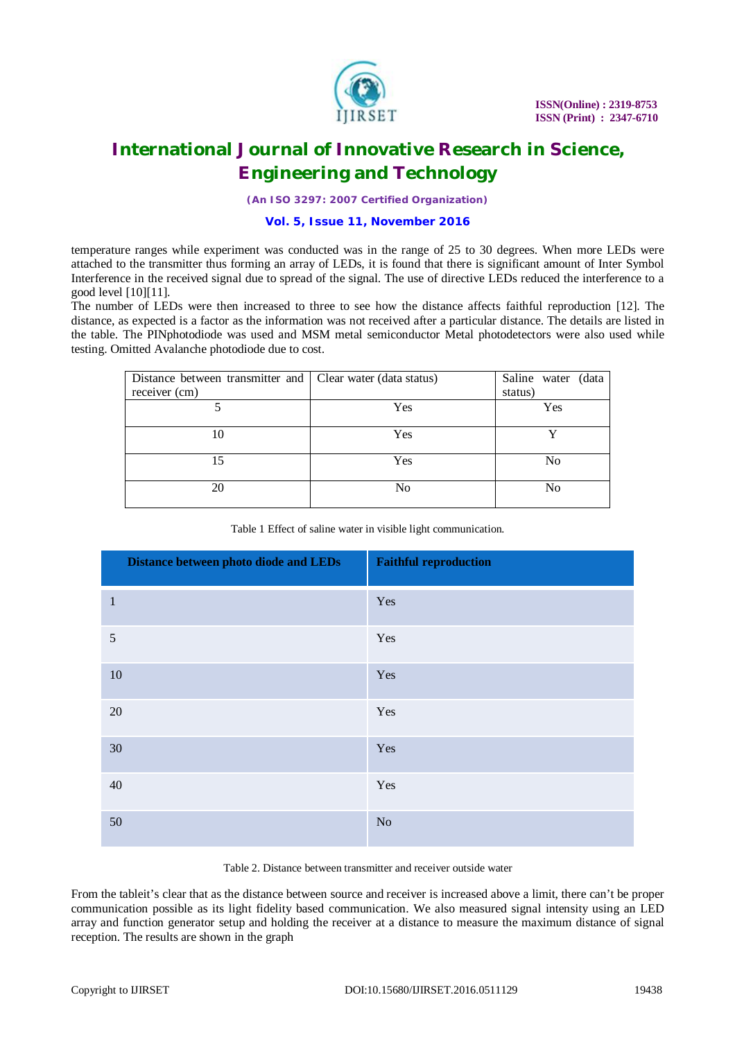

*(An ISO 3297: 2007 Certified Organization)*

### **Vol. 5, Issue 11, November 2016**

temperature ranges while experiment was conducted was in the range of 25 to 30 degrees. When more LEDs were attached to the transmitter thus forming an array of LEDs, it is found that there is significant amount of Inter Symbol Interference in the received signal due to spread of the signal. The use of directive LEDs reduced the interference to a good level [10][11].

The number of LEDs were then increased to three to see how the distance affects faithful reproduction [12]. The distance, as expected is a factor as the information was not received after a particular distance. The details are listed in the table. The PINphotodiode was used and MSM metal semiconductor Metal photodetectors were also used while testing. Omitted Avalanche photodiode due to cost.

| Distance between transmitter and Clear water (data status) |                | Saline water (data |
|------------------------------------------------------------|----------------|--------------------|
| receiver (cm)                                              |                | status)            |
|                                                            | Yes            | Yes                |
|                                                            |                |                    |
| 10                                                         | Yes            |                    |
|                                                            |                |                    |
| 15                                                         | Yes            | No                 |
|                                                            |                |                    |
| 20                                                         | N <sub>0</sub> | No                 |
|                                                            |                |                    |

|  |  |  | Table 1 Effect of saline water in visible light communication. |
|--|--|--|----------------------------------------------------------------|
|  |  |  |                                                                |

| Distance between photo diode and LEDs | <b>Faithful reproduction</b> |
|---------------------------------------|------------------------------|
| $\mathbf{1}$                          | Yes                          |
| $\mathfrak s$                         | Yes                          |
| 10                                    | Yes                          |
| 20                                    | Yes                          |
| 30                                    | Yes                          |
| 40                                    | Yes                          |
| 50                                    | No                           |

Table 2. Distance between transmitter and receiver outside water

From the tableit's clear that as the distance between source and receiver is increased above a limit, there can't be proper communication possible as its light fidelity based communication. We also measured signal intensity using an LED array and function generator setup and holding the receiver at a distance to measure the maximum distance of signal reception. The results are shown in the graph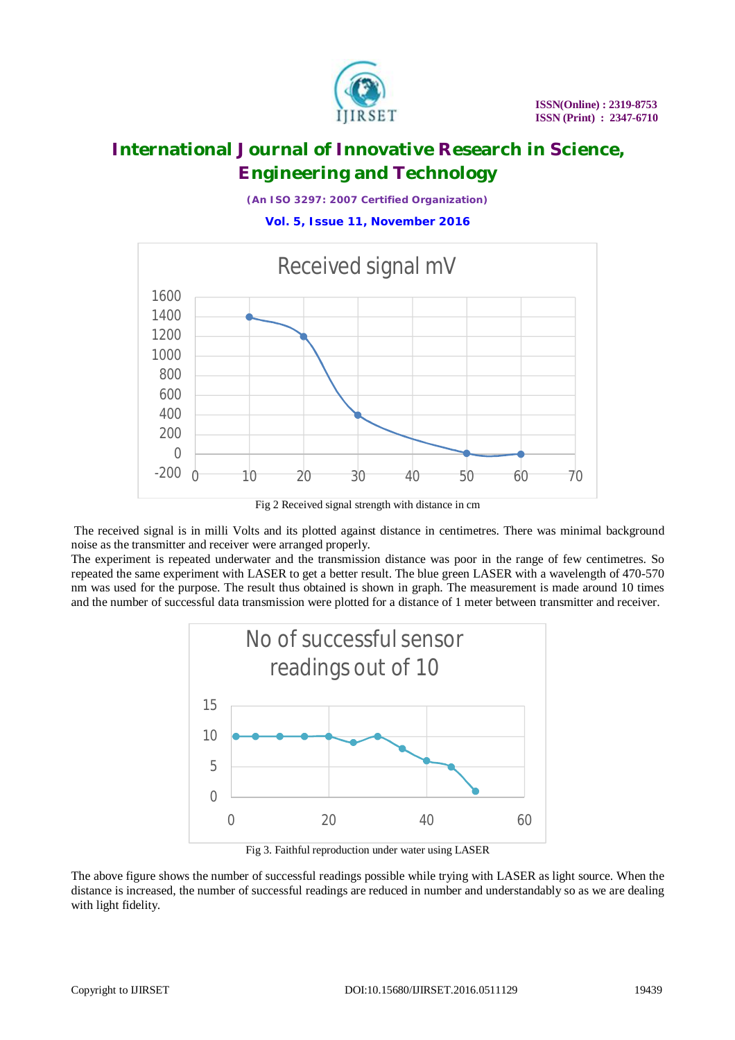

*(An ISO 3297: 2007 Certified Organization)*

**Vol. 5, Issue 11, November 2016**



Fig 2 Received signal strength with distance in cm

The received signal is in milli Volts and its plotted against distance in centimetres. There was minimal background noise as the transmitter and receiver were arranged properly.

The experiment is repeated underwater and the transmission distance was poor in the range of few centimetres. So repeated the same experiment with LASER to get a better result. The blue green LASER with a wavelength of 470-570 nm was used for the purpose. The result thus obtained is shown in graph. The measurement is made around 10 times and the number of successful data transmission were plotted for a distance of 1 meter between transmitter and receiver.



Fig 3. Faithful reproduction under water using LASER

The above figure shows the number of successful readings possible while trying with LASER as light source. When the distance is increased, the number of successful readings are reduced in number and understandably so as we are dealing with light fidelity.